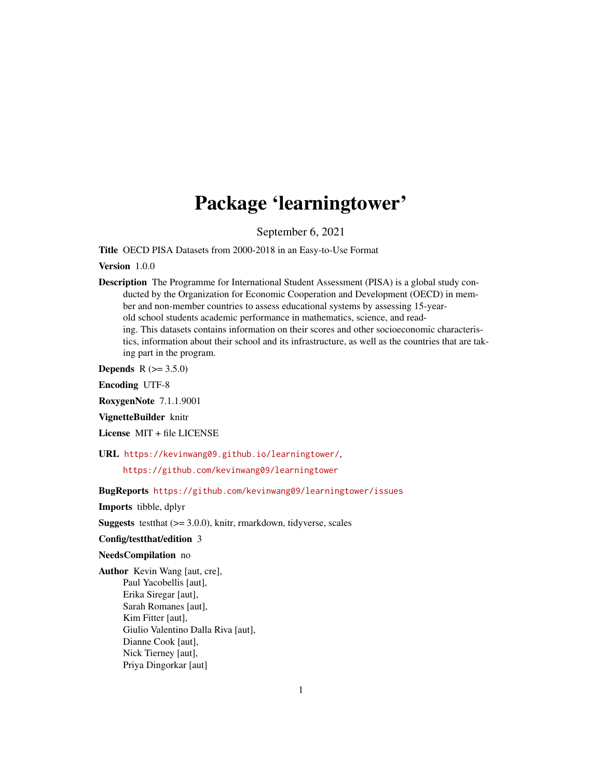# Package 'learningtower'

September 6, 2021

Title OECD PISA Datasets from 2000-2018 in an Easy-to-Use Format

Version 1.0.0

Description The Programme for International Student Assessment (PISA) is a global study conducted by the Organization for Economic Cooperation and Development (OECD) in member and non-member countries to assess educational systems by assessing 15-yearold school students academic performance in mathematics, science, and reading. This datasets contains information on their scores and other socioeconomic characteristics, information about their school and its infrastructure, as well as the countries that are taking part in the program.

**Depends**  $R (= 3.5.0)$ 

Encoding UTF-8

RoxygenNote 7.1.1.9001

VignetteBuilder knitr

License MIT + file LICENSE

URL <https://kevinwang09.github.io/learningtower/>,

<https://github.com/kevinwang09/learningtower>

BugReports <https://github.com/kevinwang09/learningtower/issues>

Imports tibble, dplyr

**Suggests** test that  $(>= 3.0.0)$ , knitr, rmarkdown, tidyverse, scales

#### Config/testthat/edition 3

#### NeedsCompilation no

Author Kevin Wang [aut, cre], Paul Yacobellis [aut], Erika Siregar [aut], Sarah Romanes [aut], Kim Fitter [aut], Giulio Valentino Dalla Riva [aut], Dianne Cook [aut], Nick Tierney [aut], Priya Dingorkar [aut]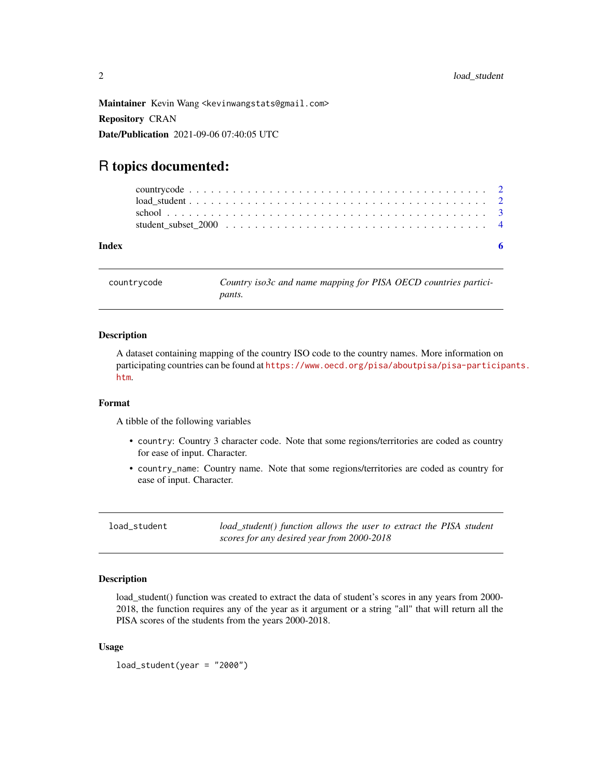<span id="page-1-0"></span>Maintainer Kevin Wang <kevinwangstats@gmail.com> Repository CRAN Date/Publication 2021-09-06 07:40:05 UTC

## R topics documented:

| Index |  |  |  |  |  |  |  |  |  |  |  |  |  |  |  |  |  |
|-------|--|--|--|--|--|--|--|--|--|--|--|--|--|--|--|--|--|
|       |  |  |  |  |  |  |  |  |  |  |  |  |  |  |  |  |  |
|       |  |  |  |  |  |  |  |  |  |  |  |  |  |  |  |  |  |
|       |  |  |  |  |  |  |  |  |  |  |  |  |  |  |  |  |  |
|       |  |  |  |  |  |  |  |  |  |  |  |  |  |  |  |  |  |

countrycode *Country iso3c and name mapping for PISA OECD countries participants.*

#### **Description**

A dataset containing mapping of the country ISO code to the country names. More information on participating countries can be found at [https://www.oecd.org/pisa/aboutpisa/pisa-particip](https://www.oecd.org/pisa/aboutpisa/pisa-participants.htm)ants. [htm](https://www.oecd.org/pisa/aboutpisa/pisa-participants.htm).

#### Format

A tibble of the following variables

- country: Country 3 character code. Note that some regions/territories are coded as country for ease of input. Character.
- country\_name: Country name. Note that some regions/territories are coded as country for ease of input. Character.

load\_student *load\_student() function allows the user to extract the PISA student scores for any desired year from 2000-2018*

#### **Description**

load\_student() function was created to extract the data of student's scores in any years from 2000-2018, the function requires any of the year as it argument or a string "all" that will return all the PISA scores of the students from the years 2000-2018.

#### Usage

load\_student(year = "2000")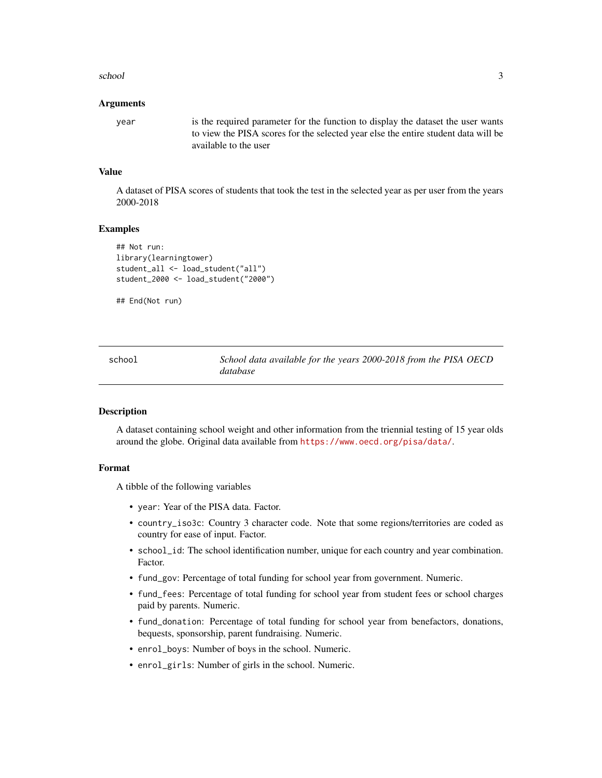#### <span id="page-2-0"></span>school 3 and 3 and 3 and 3 and 3 and 3 and 3 and 3 and 3 and 3 and 3 and 3 and 3 and 3 and 3 and 3 and 3 and 3 and 3 and 3 and 3 and 3 and 3 and 3 and 3 and 3 and 3 and 3 and 3 and 3 and 3 and 3 and 3 and 3 and 3 and 3 and

#### Arguments

year is the required parameter for the function to display the dataset the user wants to view the PISA scores for the selected year else the entire student data will be available to the user

### Value

A dataset of PISA scores of students that took the test in the selected year as per user from the years 2000-2018

#### Examples

```
## Not run:
library(learningtower)
student_all <- load_student("all")
student_2000 <- load_student("2000")
```

```
## End(Not run)
```

| school | School data available for the years 2000-2018 from the PISA OECD |  |
|--------|------------------------------------------------------------------|--|
|        | database                                                         |  |

#### Description

A dataset containing school weight and other information from the triennial testing of 15 year olds around the globe. Original data available from <https://www.oecd.org/pisa/data/>.

#### Format

A tibble of the following variables

- year: Year of the PISA data. Factor.
- country\_iso3c: Country 3 character code. Note that some regions/territories are coded as country for ease of input. Factor.
- school\_id: The school identification number, unique for each country and year combination. Factor.
- fund\_gov: Percentage of total funding for school year from government. Numeric.
- fund\_fees: Percentage of total funding for school year from student fees or school charges paid by parents. Numeric.
- fund\_donation: Percentage of total funding for school year from benefactors, donations, bequests, sponsorship, parent fundraising. Numeric.
- enrol\_boys: Number of boys in the school. Numeric.
- enrol\_girls: Number of girls in the school. Numeric.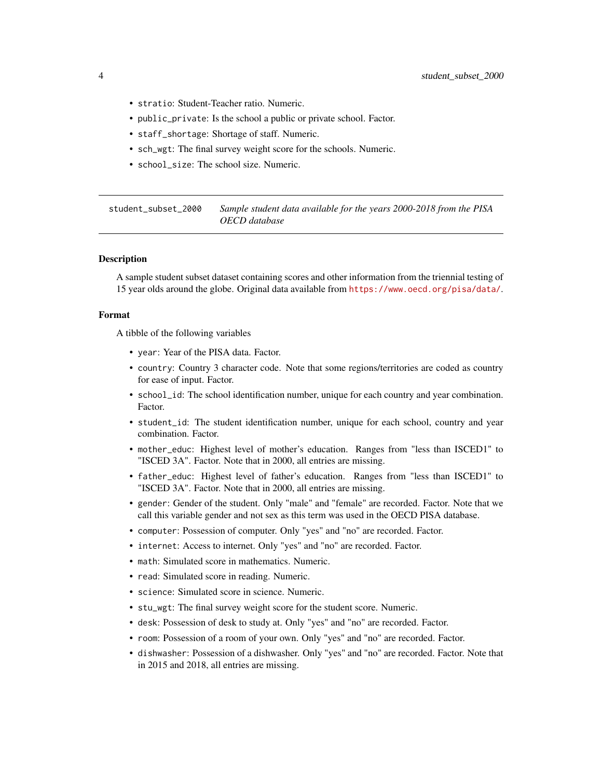- <span id="page-3-0"></span>• stratio: Student-Teacher ratio. Numeric.
- public\_private: Is the school a public or private school. Factor.
- staff\_shortage: Shortage of staff. Numeric.
- sch\_wgt: The final survey weight score for the schools. Numeric.
- school\_size: The school size. Numeric.

student\_subset\_2000 *Sample student data available for the years 2000-2018 from the PISA OECD database*

#### **Description**

A sample student subset dataset containing scores and other information from the triennial testing of 15 year olds around the globe. Original data available from <https://www.oecd.org/pisa/data/>.

#### Format

A tibble of the following variables

- year: Year of the PISA data. Factor.
- country: Country 3 character code. Note that some regions/territories are coded as country for ease of input. Factor.
- school\_id: The school identification number, unique for each country and year combination. Factor.
- student\_id: The student identification number, unique for each school, country and year combination. Factor.
- mother\_educ: Highest level of mother's education. Ranges from "less than ISCED1" to "ISCED 3A". Factor. Note that in 2000, all entries are missing.
- father\_educ: Highest level of father's education. Ranges from "less than ISCED1" to "ISCED 3A". Factor. Note that in 2000, all entries are missing.
- gender: Gender of the student. Only "male" and "female" are recorded. Factor. Note that we call this variable gender and not sex as this term was used in the OECD PISA database.
- computer: Possession of computer. Only "yes" and "no" are recorded. Factor.
- internet: Access to internet. Only "yes" and "no" are recorded. Factor.
- math: Simulated score in mathematics. Numeric.
- read: Simulated score in reading. Numeric.
- science: Simulated score in science. Numeric.
- stu\_wgt: The final survey weight score for the student score. Numeric.
- desk: Possession of desk to study at. Only "yes" and "no" are recorded. Factor.
- room: Possession of a room of your own. Only "yes" and "no" are recorded. Factor.
- dishwasher: Possession of a dishwasher. Only "yes" and "no" are recorded. Factor. Note that in 2015 and 2018, all entries are missing.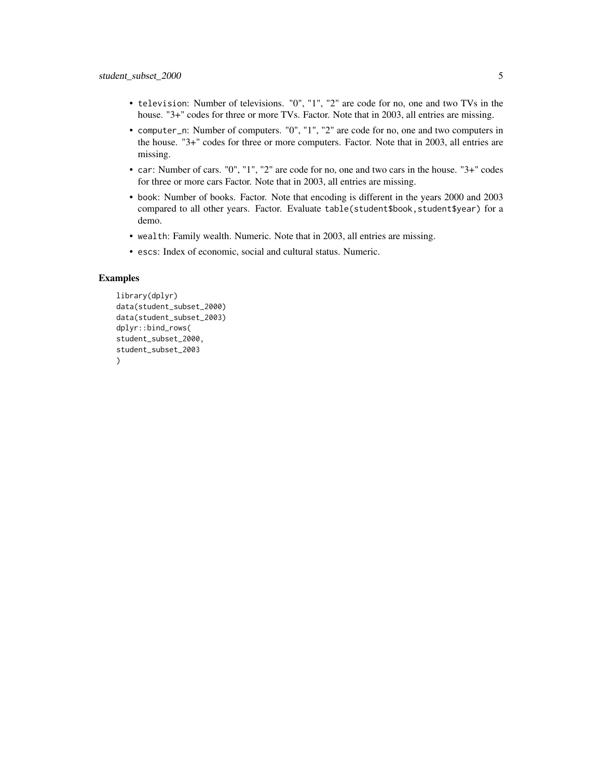- television: Number of televisions. "0", "1", "2" are code for no, one and two TVs in the house. "3+" codes for three or more TVs. Factor. Note that in 2003, all entries are missing.
- computer\_n: Number of computers. "0", "1", "2" are code for no, one and two computers in the house. "3+" codes for three or more computers. Factor. Note that in 2003, all entries are missing.
- car: Number of cars. "0", "1", "2" are code for no, one and two cars in the house. "3+" codes for three or more cars Factor. Note that in 2003, all entries are missing.
- book: Number of books. Factor. Note that encoding is different in the years 2000 and 2003 compared to all other years. Factor. Evaluate table(student\$book, student\$year) for a demo.
- wealth: Family wealth. Numeric. Note that in 2003, all entries are missing.
- escs: Index of economic, social and cultural status. Numeric.

#### Examples

```
library(dplyr)
data(student_subset_2000)
data(student_subset_2003)
dplyr::bind_rows(
student_subset_2000,
student_subset_2003
\lambda
```